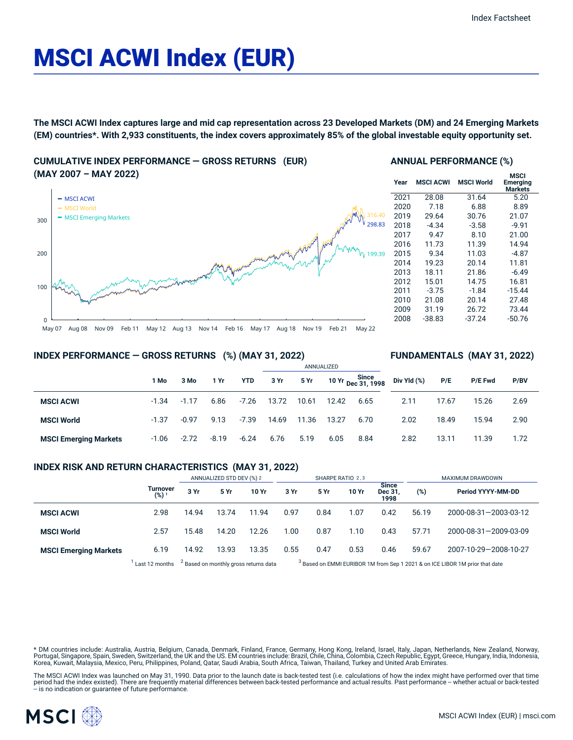# MSCI ACWI Index (EUR)

The MSCI ACWI Index captures large and mid cap representation across 23 Developed Markets (DM) and 24 Emerging Markets (EM) countries\*. With 2,933 constituents, the index covers approximately 85% of the global investable equity opportunity set.

### **CUMULATIVE INDEX PERFORMANCE — GROSS RETURNS (EUR) (MAY 2007 – MAY 2022)**



#### **ANNUAL PERFORMANCE (%)**

| Year | <b>MSCI ACWI</b> | <b>MSCI World</b> | <b>MSCI</b><br><b>Emerging</b><br><b>Markets</b> |
|------|------------------|-------------------|--------------------------------------------------|
| 2021 | 28.08            | 31.64             | 5.20                                             |
| 2020 | 7.18             | 6.88              | 8.89                                             |
| 2019 | 29.64            | 30.76             | 21.07                                            |
| 2018 | -4.34            | $-3.58$           | $-9.91$                                          |
| 2017 | 9.47             | 8.10              | 21.00                                            |
| 2016 | 11.73            | 11.39             | 14.94                                            |
| 2015 | 9.34             | 11.03             | $-4.87$                                          |
| 2014 | 19.23            | 20.14             | 11.81                                            |
| 2013 | 18.11            | 21.86             | $-6.49$                                          |
| 2012 | 15.01            | 14.75             | 16.81                                            |
| 2011 | $-3.75$          | $-1.84$           | $-15.44$                                         |
| 2010 | 21.08            | 20.14             | 27.48                                            |
| 2009 | 31.19            | 26.72             | 73.44                                            |
| 2008 | -38.83           | $-37.24$          | -50.76                                           |
|      |                  |                   |                                                  |

**FUNDAMENTALS (MAY 31, 2022)**

#### **INDEX PERFORMANCE — GROSS RETURNS (%) (MAY 31, 2022)**

|                              |         |         |         |         | ANNUALIZED |       |       |                                    |             |       |                |      |  |
|------------------------------|---------|---------|---------|---------|------------|-------|-------|------------------------------------|-------------|-------|----------------|------|--|
|                              | 1 Mo    | 3 Mo    | 1 Yr    | YTD     | 3 Yr       | 5 Yr  |       | 10 Yr Since<br>1998 - Dec 31, 1998 | Div Yld (%) | P/E   | <b>P/E Fwd</b> | P/BV |  |
| <b>MSCI ACWI</b>             | $-1.34$ | $-1.17$ | 6.86    | $-7.26$ | 13.72      | 10.61 | 12.42 | 6.65                               | 2.11        | 17.67 | 15.26          | 2.69 |  |
| <b>MSCI World</b>            | $-1.37$ | $-0.97$ | 9.13    | $-7.39$ | 14.69      | 11.36 | 13.27 | 6.70                               | 2.02        | 18.49 | 15.94          | 2.90 |  |
| <b>MSCI Emerging Markets</b> | $-1.06$ | $-2.72$ | $-8.19$ | $-6.24$ | 6.76       | 5.19  | 6.05  | 8.84                               | 2.82        | 13.11 | 11.39          | 1.72 |  |

#### **INDEX RISK AND RETURN CHARACTERISTICS (MAY 31, 2022)**

|                              |                              | ANNUALIZED STD DEV (%) 2                         |       |       | SHARPE RATIO 2,3                                                                        |      |       |                          | MAXIMUM DRAWDOWN |                       |  |
|------------------------------|------------------------------|--------------------------------------------------|-------|-------|-----------------------------------------------------------------------------------------|------|-------|--------------------------|------------------|-----------------------|--|
|                              | Turnover<br>(%) <sup>1</sup> | 3 Yr                                             | 5 Yr  | 10 Yr | 3 Yr                                                                                    | 5 Yr | 10 Yr | Since<br>Dec 31.<br>1998 | (%)              | Period YYYY-MM-DD     |  |
| <b>MSCI ACWI</b>             | 2.98                         | 14.94                                            | 13.74 | 11.94 | 0.97                                                                                    | 0.84 | 1.07  | 0.42                     | 56.19            | 2000-08-31-2003-03-12 |  |
| <b>MSCI World</b>            | 2.57                         | 15.48                                            | 14.20 | 12.26 | 1.00                                                                                    | 0.87 | 1.10  | 0.43                     | 57.71            | 2000-08-31-2009-03-09 |  |
| <b>MSCI Emerging Markets</b> | 6.19                         | 14.92                                            | 13.93 | 13.35 | 0.55                                                                                    | 0.47 | 0.53  | 0.46                     | 59.67            | 2007-10-29-2008-10-27 |  |
|                              | Last 12 months               | <sup>2</sup> Based on monthly gross returns data |       |       | <sup>3</sup> Based on EMMI EURIBOR 1M from Sep 1 2021 & on ICE LIBOR 1M prior that date |      |       |                          |                  |                       |  |

\* DM countries include: Australia, Austria, Belgium, Canada, Denmark, Finland, France, Germany, Hong Kong, Ireland, Israel, Italy, Japan, Netherlands, New Zealand, Norway,<br>Portugal, Singapore, Spain, Sweden, Switzerland, t Korea, Kuwait, Malaysia, Mexico, Peru, Philippines, Poland, Qatar, Saudi Arabia, South Africa, Taiwan, Thailand, Turkey and United Arab Emirates.

The MSCI ACWI Index was launched on May 31, 1990. Data prior to the launch date is back-tested test (i.e. calculations of how the index might have performed over that time<br>period had the index existed). There are frequentl

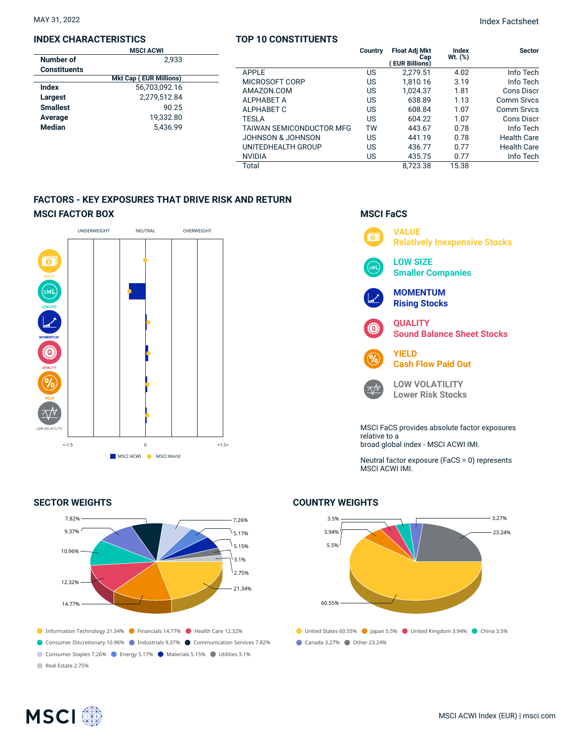#### **INDEX CHARACTERISTICS**

|                     | <b>MSCI ACWI</b>              |  |
|---------------------|-------------------------------|--|
| Number of           | 2.933                         |  |
| <b>Constituents</b> |                               |  |
|                     | <b>Mkt Cap (EUR Millions)</b> |  |
| Index               | 56.703.092.16                 |  |
| Largest             | 2,279,512.84                  |  |
| <b>Smallest</b>     | 90.25                         |  |
| Average             | 19.332.80                     |  |
| <b>Median</b>       | 5.436.99                      |  |
|                     |                               |  |

#### **TOP 10 CONSTITUENTS**

|                                 | Country | <b>Float Adj Mkt</b><br>Cap<br><b>EUR Billions)</b> | Index<br>Wt. (%) | <b>Sector</b>      |
|---------------------------------|---------|-----------------------------------------------------|------------------|--------------------|
| APPLE                           | US      | 2,279.51                                            | 4.02             | Info Tech          |
| MICROSOFT CORP                  | US      | 1.810.16                                            | 3.19             | Info Tech          |
| AMAZON.COM                      | US      | 1,024.37                                            | 1.81             | Cons Discr         |
| <b>ALPHABET A</b>               | US      | 638.89                                              | 1.13             | Comm Srvcs         |
| ALPHABET C                      | US      | 608.84                                              | 1.07             | Comm Srvcs         |
| <b>TESLA</b>                    | US      | 604.22                                              | 1.07             | Cons Discr         |
| <b>TAIWAN SEMICONDUCTOR MFG</b> | тw      | 443.67                                              | 0.78             | Info Tech          |
| JOHNSON & JOHNSON               | US      | 441.19                                              | 0.78             | <b>Health Care</b> |
| UNITEDHEALTH GROUP              | US      | 436.77                                              | 0.77             | <b>Health Care</b> |
| <b>NVIDIA</b>                   | US      | 435.75                                              | 0.77             | Info Tech          |
| Total                           |         | 8.723.38                                            | 15.38            |                    |

## **FACTORS - KEY EXPOSURES THAT DRIVE RISK AND RETURN MSCI FACTOR BOX**



#### **SECTOR WEIGHTS**



# **MSCI FaCS**



Neutral factor exposure (FaCS = 0) represents MSCI ACWI IMI.

# ● United States 60.55% ● Japan 5.5% ● United Kingdom 3.94% ● China 3.5% Canada 3.27% Other 23.24% 3.5% 3.94% 5.5% 60.55% 3.27% 23.24%

#### **COUNTRY WEIGHTS**